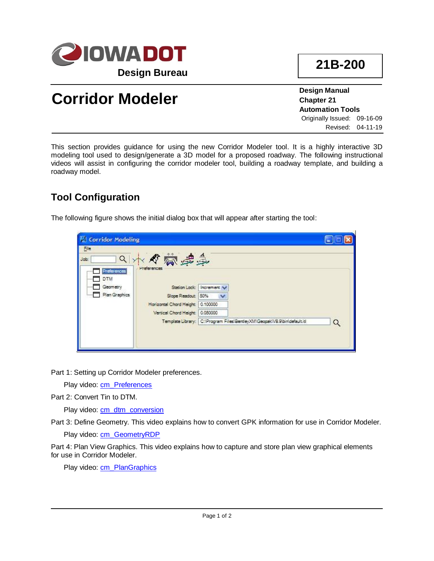

**Design Manual Chapter 21 Automation Tools** Originally Issued: 09-16-09 Revised: 04-11-19

**21B-200**

# **Corridor Modeler**

This section provides guidance for using the new Corridor Modeler tool. It is a highly interactive 3D modeling tool used to design/generate a 3D model for a proposed roadway. The following instructional videos will assist in configuring the corridor modeler tool, building a roadway template, and building a roadway model.

# **Tool Configuration**

The following figure shows the initial dialog box that will appear after starting the tool:

| <b>Corridor Modeling</b>                               |                                                                                         |                                                                          |   |
|--------------------------------------------------------|-----------------------------------------------------------------------------------------|--------------------------------------------------------------------------|---|
| File                                                   |                                                                                         |                                                                          |   |
| q                                                      | 小心刻离争                                                                                   |                                                                          |   |
| Preferences<br><b>DTM</b><br>Geometry<br>Plan Graphics | Preferences<br>Slape Readout: 50%<br>Horizantal Chard Height:<br>Vertical Chord Height: | Station Lock: Increment V<br>$\checkmark$<br>0.100000<br>0.050000        |   |
|                                                        |                                                                                         | Template Library: C:\Program Files\BentleyXM\Geopak\V8.9\bin\default.itl | Q |

Part 1: Setting up Corridor Modeler preferences.

Play video: [cm\\_Preferences](../videos/cm_Preferences)

Part 2: Convert Tin to DTM.

Play video: [cm\\_dtm\\_conversion](../videos/cm_dtm_conversion)

Part 3: Define Geometry. This video explains how to convert GPK information for use in Corridor Modeler.

Play video: [cm\\_GeometryRDP](../videos/cm_GeometryRDP)

Part 4: Plan View Graphics. This video explains how to capture and store plan view graphical elements for use in Corridor Modeler.

Play video: [cm\\_PlanGraphics](../videos/cm_PlanGraphics)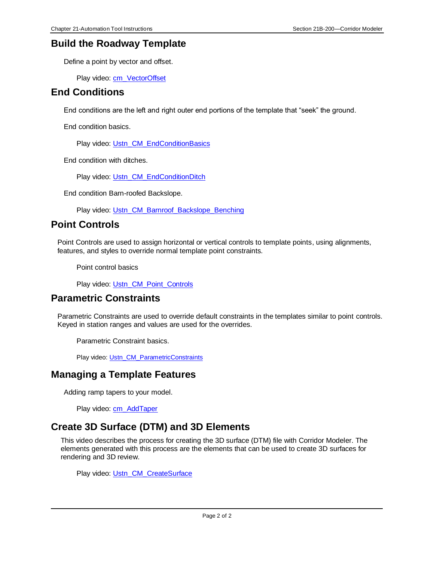#### **Build the Roadway Template**

Define a point by vector and offset.

Play video: [cm\\_VectorOffset](../videos/cm_VectorOffset)

#### **End Conditions**

End conditions are the left and right outer end portions of the template that "seek" the ground.

End condition basics.

Play video: [Ustn\\_CM\\_EndConditionBasics](../videos/Ustn_CM_EndConditionBasics)

End condition with ditches.

Play video: [Ustn\\_CM\\_EndConditionDitch](../videos/Ustn_CM_EndConditionDitch)

End condition Barn-roofed Backslope.

Play video: [Ustn\\_CM\\_Barnroof\\_Backslope\\_Benching](../videos/Ustn_CM_Barnroof_Backslope_Benching)

## **Point Controls**

Point Controls are used to assign horizontal or vertical controls to template points, using alignments, features, and styles to override normal template point constraints.

Point control basics

Play video: [Ustn\\_CM\\_Point\\_Controls](../videos/Ustn_CM_Point_Controls)

## **Parametric Constraints**

Parametric Constraints are used to override default constraints in the templates similar to point controls. Keyed in station ranges and values are used for the overrides.

Parametric Constraint basics.

Play video: [Ustn\\_CM\\_ParametricConstraints](../videos/Ustn_CM_ParametricConstraints)

#### **Managing a Template Features**

Adding ramp tapers to your model.

Play video: [cm\\_AddTaper](../videos/cm_AddTaper)

## **Create 3D Surface (DTM) and 3D Elements**

This video describes the process for creating the 3D surface (DTM) file with Corridor Modeler. The elements generated with this process are the elements that can be used to create 3D surfaces for rendering and 3D review.

Play video: [Ustn\\_CM\\_CreateSurface](../videos/Ustn_CM_CreateSurface)